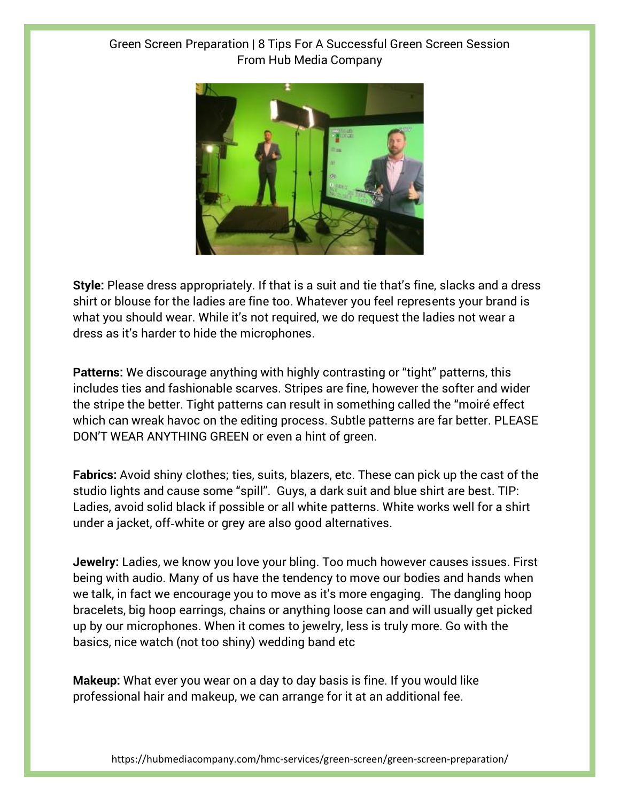## Green Screen Preparation | 8 Tips For A Successful Green Screen Session From Hub Media Company



**Style:** Please dress appropriately. If that is a suit and tie that's fine, slacks and a dress shirt or blouse for the ladies are fine too. Whatever you feel represents your brand is what you should wear. While it's not required, we do request the ladies not wear a dress as it's harder to hide the microphones.

**Patterns:** We discourage anything with highly contrasting or "tight" patterns, this includes ties and fashionable scarves. Stripes are fine, however the softer and wider the stripe the better. Tight patterns can result in something called the "moiré effect which can wreak havoc on the editing process. Subtle patterns are far better. PLEASE DON'T WEAR ANYTHING GREEN or even a hint of green.

**Fabrics:** Avoid shiny clothes; ties, suits, blazers, etc. These can pick up the cast of the studio lights and cause some "spill". Guys, a dark suit and blue shirt are best. TIP: Ladies, avoid solid black if possible or all white patterns. White works well for a shirt under a jacket, off‐white or grey are also good alternatives.

**Jewelry:** Ladies, we know you love your bling. Too much however causes issues. First being with audio. Many of us have the tendency to move our bodies and hands when we talk, in fact we encourage you to move as it's more engaging. The dangling hoop bracelets, big hoop earrings, chains or anything loose can and will usually get picked up by our microphones. When it comes to jewelry, less is truly more. Go with the basics, nice watch (not too shiny) wedding band etc

**Makeup:** What ever you wear on a day to day basis is fine. If you would like professional hair and makeup, we can arrange for it at an additional fee.

https://hubmediacompany.com/hmc-services/green-screen/green-screen-preparation/